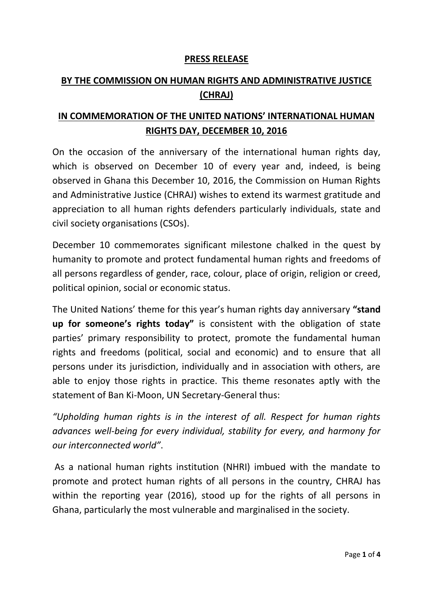## **PRESS RELEASE**

# **BY THE COMMISSION ON HUMAN RIGHTS AND ADMINISTRATIVE JUSTICE (CHRAJ)**

# **IN COMMEMORATION OF THE UNITED NATIONS' INTERNATIONAL HUMAN RIGHTS DAY, DECEMBER 10, 2016**

On the occasion of the anniversary of the international human rights day, which is observed on December 10 of every year and, indeed, is being observed in Ghana this December 10, 2016, the Commission on Human Rights and Administrative Justice (CHRAJ) wishes to extend its warmest gratitude and appreciation to all human rights defenders particularly individuals, state and civil society organisations (CSOs).

December 10 commemorates significant milestone chalked in the quest by humanity to promote and protect fundamental human rights and freedoms of all persons regardless of gender, race, colour, place of origin, religion or creed, political opinion, social or economic status.

The United Nations' theme for this year's human rights day anniversary **"stand up for someone's rights today"** is consistent with the obligation of state parties' primary responsibility to protect, promote the fundamental human rights and freedoms (political, social and economic) and to ensure that all persons under its jurisdiction, individually and in association with others, are able to enjoy those rights in practice. This theme resonates aptly with the statement of Ban Ki-Moon, UN Secretary-General thus:

*"Upholding human rights is in the interest of all. Respect for human rights advances well-being for every individual, stability for every, and harmony for our interconnected world"*.

As a national human rights institution (NHRI) imbued with the mandate to promote and protect human rights of all persons in the country, CHRAJ has within the reporting year (2016), stood up for the rights of all persons in Ghana, particularly the most vulnerable and marginalised in the society.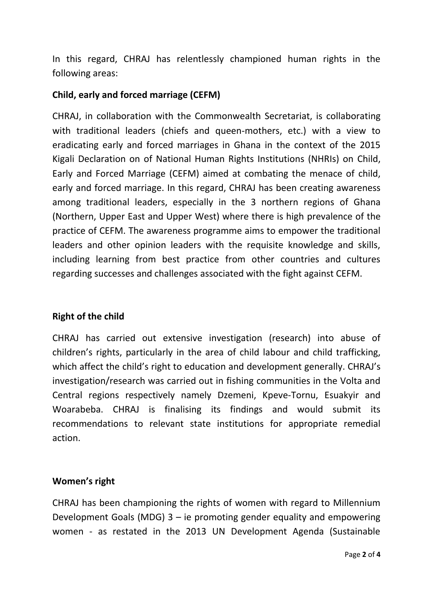In this regard, CHRAJ has relentlessly championed human rights in the following areas:

## **Child, early and forced marriage (CEFM)**

CHRAJ, in collaboration with the Commonwealth Secretariat, is collaborating with traditional leaders (chiefs and queen-mothers, etc.) with a view to eradicating early and forced marriages in Ghana in the context of the 2015 Kigali Declaration on of National Human Rights Institutions (NHRIs) on Child, Early and Forced Marriage (CEFM) aimed at combating the menace of child, early and forced marriage. In this regard, CHRAJ has been creating awareness among traditional leaders, especially in the 3 northern regions of Ghana (Northern, Upper East and Upper West) where there is high prevalence of the practice of CEFM. The awareness programme aims to empower the traditional leaders and other opinion leaders with the requisite knowledge and skills, including learning from best practice from other countries and cultures regarding successes and challenges associated with the fight against CEFM.

#### **Right of the child**

CHRAJ has carried out extensive investigation (research) into abuse of children's rights, particularly in the area of child labour and child trafficking, which affect the child's right to education and development generally. CHRAJ's investigation/research was carried out in fishing communities in the Volta and Central regions respectively namely Dzemeni, Kpeve-Tornu, Esuakyir and Woarabeba. CHRAJ is finalising its findings and would submit its recommendations to relevant state institutions for appropriate remedial action.

## **Women's right**

CHRAJ has been championing the rights of women with regard to Millennium Development Goals (MDG) 3 – ie promoting gender equality and empowering women - as restated in the 2013 UN Development Agenda (Sustainable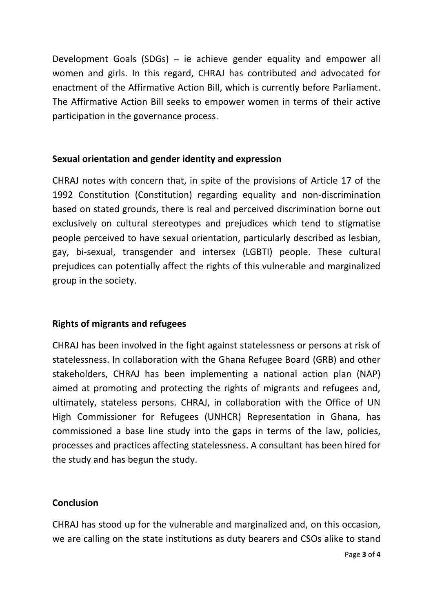Development Goals (SDGs) – ie achieve gender equality and empower all women and girls. In this regard, CHRAJ has contributed and advocated for enactment of the Affirmative Action Bill, which is currently before Parliament. The Affirmative Action Bill seeks to empower women in terms of their active participation in the governance process.

# **Sexual orientation and gender identity and expression**

CHRAJ notes with concern that, in spite of the provisions of Article 17 of the 1992 Constitution (Constitution) regarding equality and non-discrimination based on stated grounds, there is real and perceived discrimination borne out exclusively on cultural stereotypes and prejudices which tend to stigmatise people perceived to have sexual orientation, particularly described as lesbian, gay, bi-sexual, transgender and intersex (LGBTI) people. These cultural prejudices can potentially affect the rights of this vulnerable and marginalized group in the society.

# **Rights of migrants and refugees**

CHRAJ has been involved in the fight against statelessness or persons at risk of statelessness. In collaboration with the Ghana Refugee Board (GRB) and other stakeholders, CHRAJ has been implementing a national action plan (NAP) aimed at promoting and protecting the rights of migrants and refugees and, ultimately, stateless persons. CHRAJ, in collaboration with the Office of UN High Commissioner for Refugees (UNHCR) Representation in Ghana, has commissioned a base line study into the gaps in terms of the law, policies, processes and practices affecting statelessness. A consultant has been hired for the study and has begun the study.

## **Conclusion**

CHRAJ has stood up for the vulnerable and marginalized and, on this occasion, we are calling on the state institutions as duty bearers and CSOs alike to stand